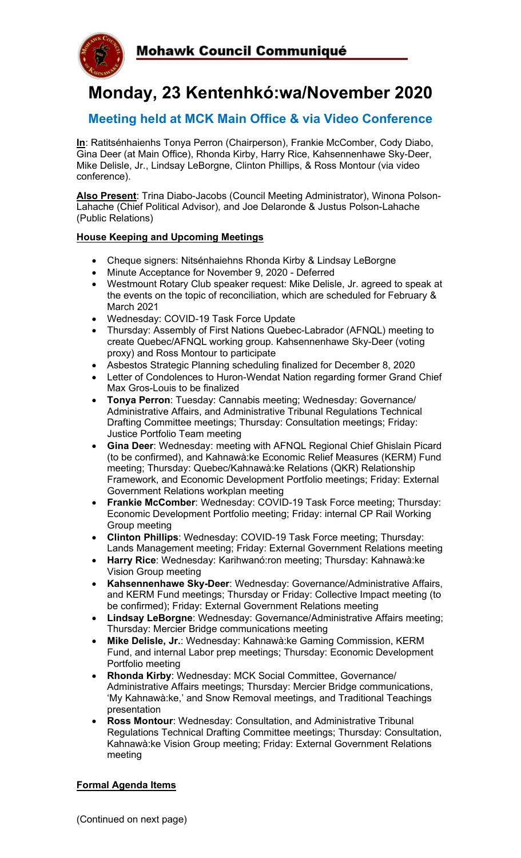



# **Monday, 23 Kentenhkó:wa/November 2020**

# **Meeting held at MCK Main Office & via Video Conference**

**In**: Ratitsénhaienhs Tonya Perron (Chairperson), Frankie McComber, Cody Diabo, Gina Deer (at Main Office), Rhonda Kirby, Harry Rice, Kahsennenhawe Sky-Deer, Mike Delisle, Jr., Lindsay LeBorgne, Clinton Phillips, & Ross Montour (via video conference).

**Also Present**: Trina Diabo-Jacobs (Council Meeting Administrator), Winona Polson-Lahache (Chief Political Advisor), and Joe Delaronde & Justus Polson-Lahache (Public Relations)

# **House Keeping and Upcoming Meetings**

- Cheque signers: Nitsénhaiehns Rhonda Kirby & Lindsay LeBorgne
- Minute Acceptance for November 9, 2020 Deferred
- Westmount Rotary Club speaker request: Mike Delisle, Jr. agreed to speak at the events on the topic of reconciliation, which are scheduled for February & March 2021
- Wednesday: COVID-19 Task Force Update
- Thursday: Assembly of First Nations Quebec-Labrador (AFNQL) meeting to create Quebec/AFNQL working group. Kahsennenhawe Sky-Deer (voting proxy) and Ross Montour to participate
- Asbestos Strategic Planning scheduling finalized for December 8, 2020
- Letter of Condolences to Huron-Wendat Nation regarding former Grand Chief Max Gros-Louis to be finalized
- **Tonya Perron**: Tuesday: Cannabis meeting; Wednesday: Governance/ Administrative Affairs, and Administrative Tribunal Regulations Technical Drafting Committee meetings; Thursday: Consultation meetings; Friday: Justice Portfolio Team meeting
- **Gina Deer**: Wednesday: meeting with AFNQL Regional Chief Ghislain Picard (to be confirmed), and Kahnawà:ke Economic Relief Measures (KERM) Fund meeting; Thursday: Quebec/Kahnawà:ke Relations (QKR) Relationship Framework, and Economic Development Portfolio meetings; Friday: External Government Relations workplan meeting
- **Frankie McComber**: Wednesday: COVID-19 Task Force meeting; Thursday: Economic Development Portfolio meeting; Friday: internal CP Rail Working Group meeting
- **Clinton Phillips**: Wednesday: COVID-19 Task Force meeting; Thursday: Lands Management meeting; Friday: External Government Relations meeting
- **Harry Rice**: Wednesday: Karihwanó:ron meeting; Thursday: Kahnawà:ke Vision Group meeting
- **Kahsennenhawe Sky-Deer**: Wednesday: Governance/Administrative Affairs, and KERM Fund meetings; Thursday or Friday: Collective Impact meeting (to be confirmed); Friday: External Government Relations meeting
- **Lindsay LeBorgne**: Wednesday: Governance/Administrative Affairs meeting; Thursday: Mercier Bridge communications meeting
- **Mike Delisle, Jr.**: Wednesday: Kahnawà:ke Gaming Commission, KERM Fund, and internal Labor prep meetings; Thursday: Economic Development Portfolio meeting
- **Rhonda Kirby**: Wednesday: MCK Social Committee, Governance/ Administrative Affairs meetings; Thursday: Mercier Bridge communications, 'My Kahnawà:ke,' and Snow Removal meetings, and Traditional Teachings presentation
- **Ross Montour**: Wednesday: Consultation, and Administrative Tribunal Regulations Technical Drafting Committee meetings; Thursday: Consultation, Kahnawà:ke Vision Group meeting; Friday: External Government Relations meeting

#### **Formal Agenda Items**

(Continued on next page)